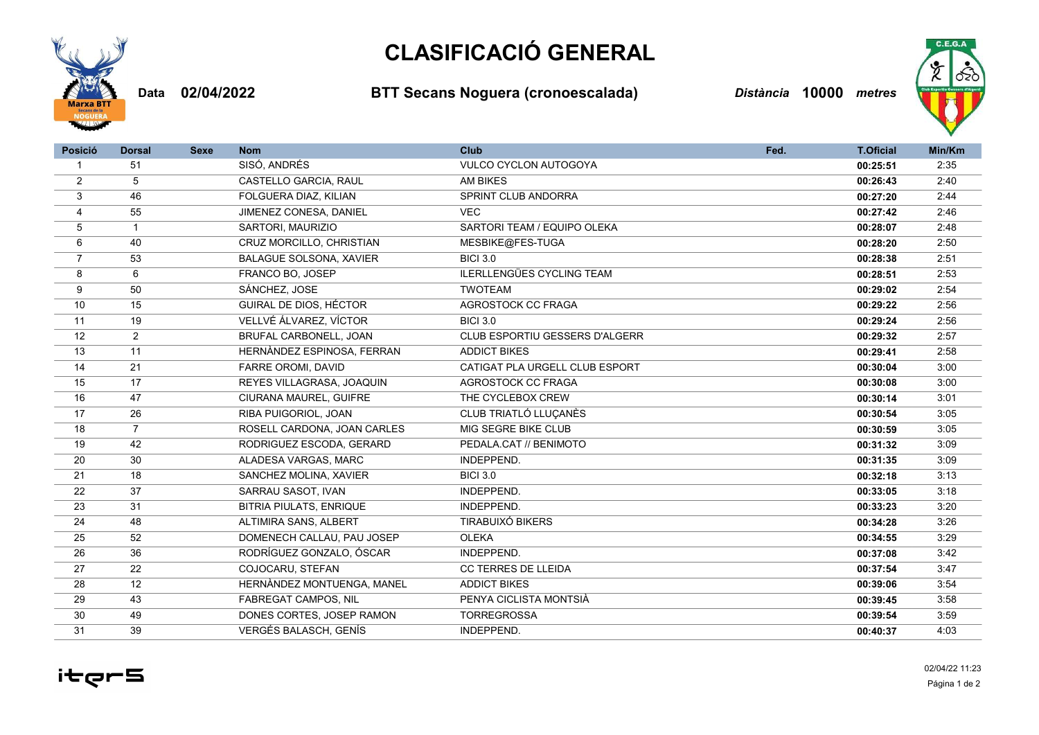



Data 02/04/2022 BTT Secans Noguera (cronoescalada) Distància 10000 metres



| <b>Posició</b> | <b>Dorsal</b>  | <b>Sexe</b> | <b>Nom</b>                     | <b>Club</b>                      | Fed. | <b>T.Oficial</b> | Min/Km |
|----------------|----------------|-------------|--------------------------------|----------------------------------|------|------------------|--------|
| $\mathbf 1$    | 51             |             | SISÓ, ANDRÉS                   | <b>VULCO CYCLON AUTOGOYA</b>     |      | 00:25:51         | 2:35   |
| $\overline{2}$ | 5              |             | CASTELLO GARCIA, RAUL          | <b>AM BIKES</b>                  |      | 00:26:43         | 2:40   |
| 3              | 46             |             | FOLGUERA DIAZ, KILIAN          | SPRINT CLUB ANDORRA              |      | 00:27:20         | 2:44   |
| $\overline{4}$ | 55             |             | JIMENEZ CONESA, DANIEL         | <b>VEC</b>                       |      | 00:27:42         | 2:46   |
| 5              | $\mathbf{1}$   |             | SARTORI, MAURIZIO              | SARTORI TEAM / EQUIPO OLEKA      |      | 00:28:07         | 2:48   |
| 6              | 40             |             | CRUZ MORCILLO, CHRISTIAN       | MESBIKE@FES-TUGA                 |      | 00:28:20         | 2:50   |
| $\overline{7}$ | 53             |             | <b>BALAGUE SOLSONA, XAVIER</b> | <b>BICI 3.0</b>                  |      | 00:28:38         | 2:51   |
| 8              | 6              |             | FRANCO BO, JOSEP               | <b>ILERLLENGÜES CYCLING TEAM</b> |      | 00:28:51         | 2:53   |
| 9              | 50             |             | SÁNCHEZ, JOSE                  | <b>TWOTEAM</b>                   |      | 00:29:02         | 2:54   |
| 10             | 15             |             | GUIRAL DE DIOS, HÉCTOR         | AGROSTOCK CC FRAGA               |      | 00:29:22         | 2:56   |
| 11             | 19             |             | VELLVÉ ÁLVAREZ, VÍCTOR         | <b>BICI 3.0</b>                  |      | 00:29:24         | 2:56   |
| 12             | $\overline{2}$ |             | BRUFAL CARBONELL, JOAN         | CLUB ESPORTIU GESSERS D'ALGERR   |      | 00:29:32         | 2:57   |
| 13             | 11             |             | HERNÀNDEZ ESPINOSA, FERRAN     | <b>ADDICT BIKES</b>              |      | 00:29:41         | 2:58   |
| 14             | 21             |             | FARRE OROMI, DAVID             | CATIGAT PLA URGELL CLUB ESPORT   |      | 00:30:04         | 3:00   |
| 15             | 17             |             | REYES VILLAGRASA, JOAQUIN      | AGROSTOCK CC FRAGA               |      | 00:30:08         | 3:00   |
| 16             | 47             |             | CIURANA MAUREL, GUIFRE         | THE CYCLEBOX CREW                |      | 00:30:14         | 3:01   |
| 17             | 26             |             | RIBA PUIGORIOL, JOAN           | CLUB TRIATLÓ LLUCANÈS            |      | 00:30:54         | 3:05   |
| 18             | $\overline{7}$ |             | ROSELL CARDONA, JOAN CARLES    | MIG SEGRE BIKE CLUB              |      | 00:30:59         | 3:05   |
| 19             | 42             |             | RODRIGUEZ ESCODA, GERARD       | PEDALA.CAT // BENIMOTO           |      | 00:31:32         | 3:09   |
| 20             | 30             |             | ALADESA VARGAS, MARC           | INDEPPEND.                       |      | 00:31:35         | 3:09   |
| 21             | 18             |             | SANCHEZ MOLINA, XAVIER         | <b>BICI 3.0</b>                  |      | 00:32:18         | 3:13   |
| 22             | 37             |             | SARRAU SASOT, IVAN             | INDEPPEND.                       |      | 00:33:05         | 3:18   |
| 23             | 31             |             | BITRIA PIULATS, ENRIQUE        | INDEPPEND.                       |      | 00:33:23         | 3:20   |
| 24             | 48             |             | ALTIMIRA SANS, ALBERT          | <b>TIRABUIXÓ BIKERS</b>          |      | 00:34:28         | 3:26   |
| 25             | 52             |             | DOMENECH CALLAU, PAU JOSEP     | <b>OLEKA</b>                     |      | 00:34:55         | 3:29   |
| 26             | 36             |             | RODRÍGUEZ GONZALO, ÓSCAR       | INDEPPEND.                       |      | 00:37:08         | 3:42   |
| 27             | 22             |             | COJOCARU, STEFAN               | <b>CC TERRES DE LLEIDA</b>       |      | 00:37:54         | 3:47   |
| 28             | 12             |             | HERNÀNDEZ MONTUENGA, MANEL     | <b>ADDICT BIKES</b>              |      | 00:39:06         | 3:54   |
| 29             | 43             |             | <b>FABREGAT CAMPOS, NIL</b>    | PENYA CICLISTA MONTSIÀ           |      | 00:39:45         | 3:58   |
| 30             | 49             |             | DONES CORTES, JOSEP RAMON      | <b>TORREGROSSA</b>               |      | 00:39:54         | 3:59   |
| 31             | 39             |             | <b>VERGÉS BALASCH, GENÍS</b>   | INDEPPEND.                       |      | 00:40:37         | 4:03   |